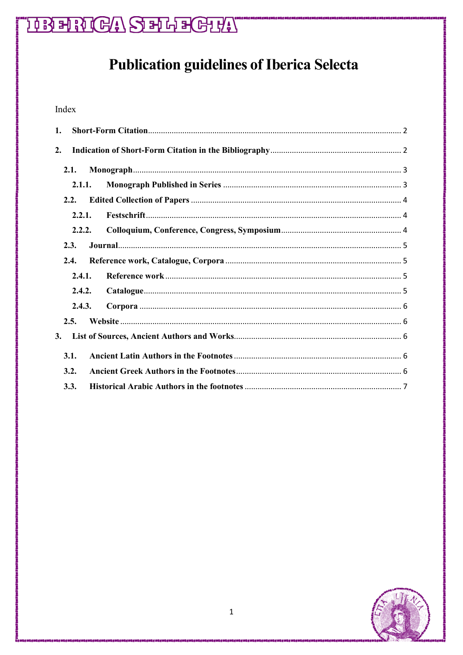# THE FRIGH SERFECT!

# **Publication guidelines of Iberica Selecta**

# Index

| 1.     |  |  |
|--------|--|--|
| 2.     |  |  |
| 2.1.   |  |  |
| 2.1.1. |  |  |
| 2.2.   |  |  |
| 2.2.1. |  |  |
| 2.2.2. |  |  |
| 2.3.   |  |  |
| 2.4.   |  |  |
| 2.4.1. |  |  |
| 2.4.2. |  |  |
| 2.4.3. |  |  |
| 2.5.   |  |  |
| 3.     |  |  |
| 3.1.   |  |  |
| 3.2.   |  |  |
| 3.3.   |  |  |

<span id="page-0-0"></span>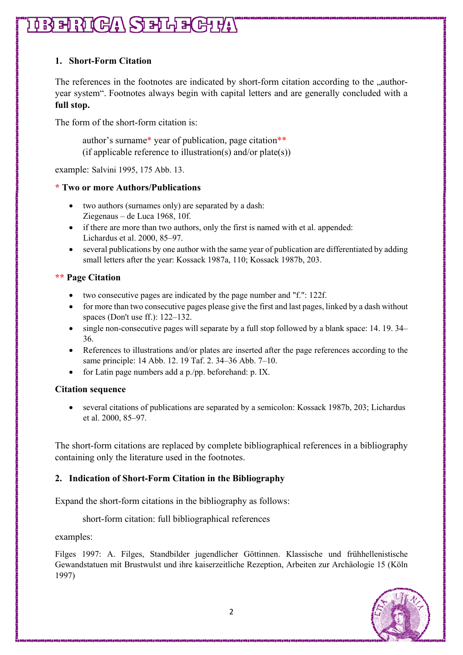# **IBBERGA SERFERE**

# **1. Short-Form Citation**

The references in the footnotes are indicated by short-form citation according to the ..authoryear system". Footnotes always begin with capital letters and are generally concluded with a **full stop.**

The form of the short-form citation is:

author's surname\* year of publication, page citation\*\* (if applicable reference to illustration(s) and/or plate(s))

example: Salvini 1995, 175 Abb. 13.

## **\* Two or more Authors/Publications**

- two authors (surnames only) are separated by a dash: Ziegenaus – de Luca 1968, 10f.
- if there are more than two authors, only the first is named with et al. appended: Lichardus et al. 2000, 85–97.
- several publications by one author with the same year of publication are differentiated by adding small letters after the year: Kossack 1987a, 110; Kossack 1987b, 203.

## **\*\* Page Citation**

- two consecutive pages are indicated by the page number and "f.": 122f.
- for more than two consecutive pages please give the first and last pages, linked by a dash without spaces (Don't use ff.): 122–132.
- single non-consecutive pages will separate by a full stop followed by a blank space: 14. 19. 34– 36.
- References to illustrations and/or plates are inserted after the page references according to the same principle: 14 Abb. 12. 19 Taf. 2. 34–36 Abb. 7–10.
- for Latin page numbers add a p./pp. beforehand: p. IX.

#### **Citation sequence**

• several citations of publications are separated by a semicolon: Kossack 1987b, 203; Lichardus et al. 2000, 85–97.

The short-form citations are replaced by complete bibliographical references in a bibliography containing only the literature used in the footnotes.

## <span id="page-1-0"></span>**2. Indication of Short-Form Citation in the Bibliography**

Expand the short-form citations in the bibliography as follows:

short-form citation: full bibliographical references

examples:

Filges 1997: A. Filges, Standbilder jugendlicher Göttinnen. Klassische und frühhellenistische Gewandstatuen mit Brustwulst und ihre kaiserzeitliche Rezeption, Arbeiten zur Archäologie 15 (Köln 1997)

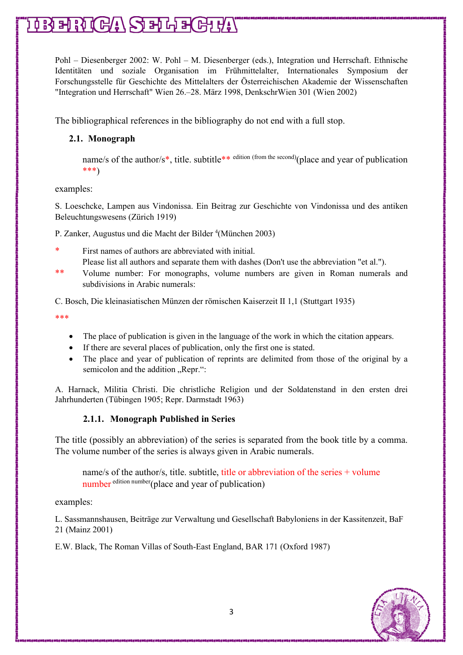# $\mathfrak{g}\mathop{{\rm Hom}}\nolimits\mathfrak{g}\mathfrak{g}\mathfrak{g}(\mathbb{G}/\mathfrak{g})\mathop{\rm Hom}\nolimits\mathfrak{g}\mathfrak{g}(\mathbb{G}/\mathfrak{g}/\mathfrak{g})$

Pohl – Diesenberger 2002: W. Pohl – M. Diesenberger (eds.), Integration und Herrschaft. Ethnische Identitäten und soziale Organisation im Frühmittelalter, Internationales Symposium der Forschungsstelle für Geschichte des Mittelalters der Österreichischen Akademie der Wissenschaften "Integration und Herrschaft" Wien 26.–28. März 1998, DenkschrWien 301 (Wien 2002)

The bibliographical references in the bibliography do not end with a full stop.

## <span id="page-2-0"></span>**2.1. Monograph**

name/s of the author/s<sup>\*</sup>, title. subtitle<sup>\*\* edition (from the second)</sup>(place and year of publication \*\*\*)

examples:

S. Loeschcke, Lampen aus Vindonissa. Ein Beitrag zur Geschichte von Vindonissa und des antiken Beleuchtungswesens (Zürich 1919)

P. Zanker, Augustus und die Macht der Bilder <sup>4</sup>(München 2003)

\* First names of authors are abbreviated with initial.

Please list all authors and separate them with dashes (Don't use the abbreviation "et al.").

\*\* Volume number: For monographs, volume numbers are given in Roman numerals and subdivisions in Arabic numerals:

C. Bosch, Die kleinasiatischen Münzen der römischen Kaiserzeit II 1,1 (Stuttgart 1935)

\*\*\*

- The place of publication is given in the language of the work in which the citation appears.
- If there are several places of publication, only the first one is stated.
- The place and year of publication of reprints are delimited from those of the original by a semicolon and the addition "Repr.":

<span id="page-2-1"></span>A. Harnack, Militia Christi. Die christliche Religion und der Soldatenstand in den ersten drei Jahrhunderten (Tübingen 1905; Repr. Darmstadt 1963)

## **2.1.1. Monograph Published in Series**

The title (possibly an abbreviation) of the series is separated from the book title by a comma. The volume number of the series is always given in Arabic numerals.

name/s of the author/s, title. subtitle, title or abbreviation of the series + volume number edition number(place and year of publication)

examples:

L. Sassmannshausen, Beiträge zur Verwaltung und Gesellschaft Babyloniens in der Kassitenzeit, BaF 21 (Mainz 2001)

E.W. Black, The Roman Villas of South-East England, BAR 171 (Oxford 1987)

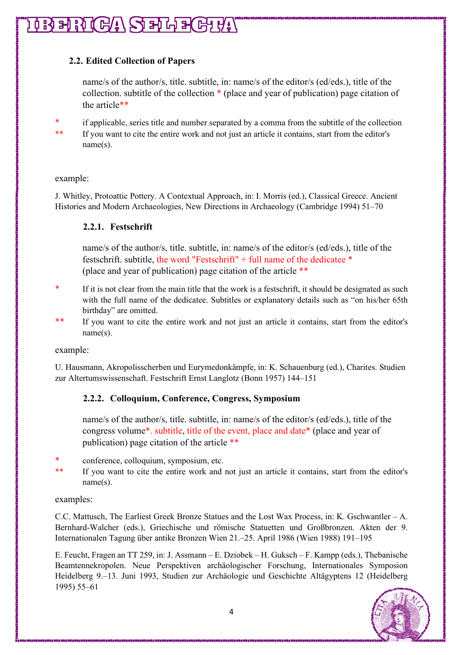# $\mathfrak{g}\mathop{{\rm Hom}}\nolimits\mathfrak{g}\mathfrak{g}\mathfrak{g}(\mathbb{G}/\mathfrak{g})\mathop{\rm Hom}\nolimits\mathfrak{g}\mathfrak{g}(\mathbb{G}/\mathfrak{g}/\mathfrak{g})$

# <span id="page-3-0"></span>**2.2. Edited Collection of Papers**

name/s of the author/s, title. subtitle, in: name/s of the editor/s (ed/eds.), title of the collection. subtitle of the collection \* (place and year of publication) page citation of the article\*\*

- \* if applicable, series title and number separated by a comma from the subtitle of the collection
- \*\* If you want to cite the entire work and not just an article it contains, start from the editor's name(s).

### example:

<span id="page-3-1"></span>J. Whitley, Protoattic Pottery. A Contextual Approach, in: I. Morris (ed.), Classical Greece. Ancient Histories and Modern Archaeologies, New Directions in Archaeology (Cambridge 1994) 51–70

## **2.2.1. Festschrift**

name/s of the author/s, title. subtitle, in: name/s of the editor/s (ed/eds.), title of the festschrift. subtitle, the word "Festschrift" + full name of the dedicatee \* (place and year of publication) page citation of the article \*\*

- \* If it is not clear from the main title that the work is a festschrift, it should be designated as such with the full name of the dedicatee. Subtitles or explanatory details such as "on his/her 65th birthday" are omitted.
- \*\* If you want to cite the entire work and not just an article it contains, start from the editor's name(s).

example:

<span id="page-3-2"></span>U. Hausmann, Akropolisscherben und Eurymedonkämpfe, in: K. Schauenburg (ed.), Charites. Studien zur Altertumswissenschaft. Festschrift Ernst Langlotz (Bonn 1957) 144–151

# **2.2.2. Colloquium, Conference, Congress, Symposium**

name/s of the author/s, title. subtitle, in: name/s of the editor/s (ed/eds.), title of the congress volume\*. subtitle, title of the event, place and date\* (place and year of publication) page citation of the article \*\*

- \* conference, colloquium, symposium, etc.
- \*\* If you want to cite the entire work and not just an article it contains, start from the editor's name(s).

#### examples:

C.C. Mattusch, The Earliest Greek Bronze Statues and the Lost Wax Process, in: K. Gschwantler – A. Bernhard-Walcher (eds.), Griechische und römische Statuetten und Großbronzen. Akten der 9. Internationalen Tagung über antike Bronzen Wien 21.–25. April 1986 (Wien 1988) 191–195

E. Feucht, Fragen an TT 259, in: J. Assmann – E. Dziobek – H. Guksch – F. Kampp (eds.), Thebanische Beamtennekropolen. Neue Perspektiven archäologischer Forschung, Internationales Symposion Heidelberg 9.–13. Juni 1993, Studien zur Archäologie und Geschichte Altägyptens 12 (Heidelberg 1995) 55–61

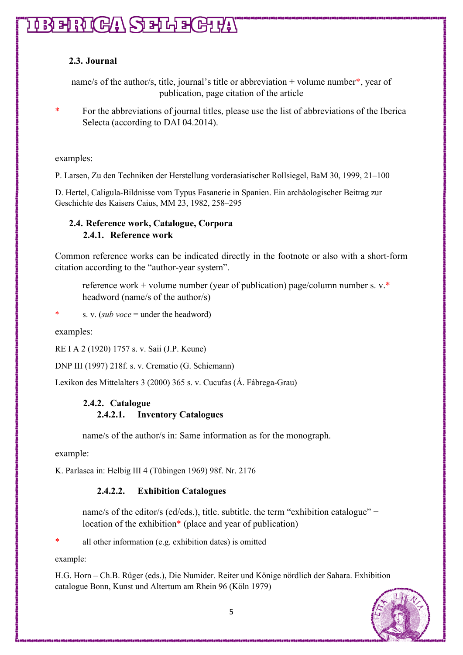# **TRERIGA SELFIGHT**

# <span id="page-4-0"></span>**2.3. Journal**

name/s of the author/s, title, journal's title or abbreviation + volume number\*, year of publication, page citation of the article

For the abbreviations of journal titles, please use the list of abbreviations of the Iberica Selecta (according to DAI 04.2014).

examples:

P. Larsen, Zu den Techniken der Herstellung vorderasiatischer Rollsiegel, BaM 30, 1999, 21–100

D. Hertel, Caligula-Bildnisse vom Typus Fasanerie in Spanien. Ein archäologischer Beitrag zur Geschichte des Kaisers Caius, MM 23, 1982, 258–295

# <span id="page-4-2"></span><span id="page-4-1"></span>**2.4. Reference work, Catalogue, Corpora 2.4.1. Reference work**

Common reference works can be indicated directly in the footnote or also with a short-form citation according to the "author-year system".

reference work + volume number (year of publication) page/column number s. v.\* headword (name/s of the author/s)

s. v. (*sub voce* = under the headword)

examples:

RE I A 2 (1920) 1757 s. v. Saii (J.P. Keune)

DNP III (1997) 218f. s. v. Crematio (G. Schiemann)

<span id="page-4-3"></span>Lexikon des Mittelalters 3 (2000) 365 s. v. Cucufas (Á. Fábrega-Grau)

# **2.4.2. Catalogue 2.4.2.1. Inventory Catalogues**

name/s of the author/s in: Same information as for the monograph.

example:

K. Parlasca in: Helbig III 4 (Tübingen 1969) 98f. Nr. 2176

## **2.4.2.2. Exhibition Catalogues**

name/s of the editor/s (ed/eds.), title. subtitle. the term "exhibition catalogue" + location of the exhibition<sup>\*</sup> (place and year of publication)

all other information (e.g. exhibition dates) is omitted

example:

H.G. Horn – Ch.B. Rüger (eds.), Die Numider. Reiter und Könige nördlich der Sahara. Exhibition catalogue Bonn, Kunst und Altertum am Rhein 96 (Köln 1979)

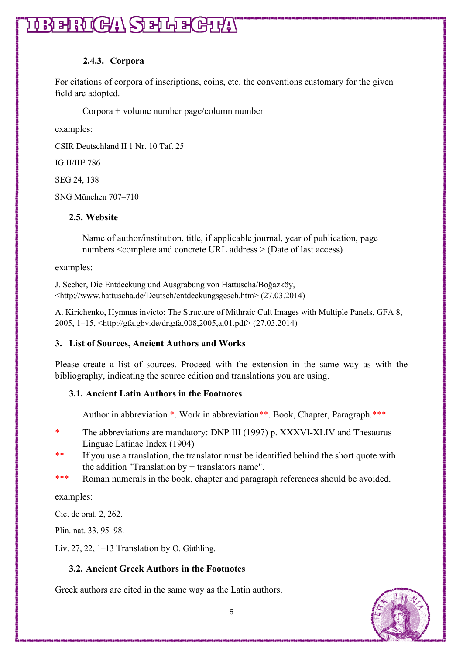# 1033月20日八〇五中国

## **2.4.3. Corpora**

<span id="page-5-0"></span>For citations of corpora of inscriptions, coins, etc. the conventions customary for the given field are adopted.

Corpora + volume number page/column number

examples:

CSIR Deutschland II 1 Nr. 10 Taf. 25

IG II/III² 786

SEG 24, 138

SNG München 707–710

## <span id="page-5-1"></span>**2.5. Website**

Name of author/institution, title, if applicable journal, year of publication, page numbers <complete and concrete URL address > (Date of last access)

examples:

J. Seeher, Die Entdeckung und Ausgrabung von Hattuscha/Boğazköy, <http://www.hattuscha.de/Deutsch/entdeckungsgesch.htm> (27.03.2014)

A. Kirichenko, Hymnus invicto: The Structure of Mithraic Cult Images with Multiple Panels, GFA 8, 2005, 1–15, <http://gfa.gbv.de/dr,gfa,008,2005,a,01.pdf> (27.03.2014)

## <span id="page-5-2"></span>**3. List of Sources, Ancient Authors and Works**

Please create a list of sources. Proceed with the extension in the same way as with the bibliography, indicating the source edition and translations you are using.

## <span id="page-5-3"></span>**3.1. Ancient Latin Authors in the Footnotes**

Author in abbreviation \*. Work in abbreviation \*\*. Book, Chapter, Paragraph. \*\*\*

- \* The abbreviations are mandatory: DNP III (1997) p. XXXVI-XLIV and Thesaurus Linguae Latinae Index (1904)
- \*\* If you use a translation, the translator must be identified behind the short quote with the addition "Translation by  $+$  translators name".
- \*\*\* Roman numerals in the book, chapter and paragraph references should be avoided.

examples:

Cic. de orat. 2, 262.

Plin. nat. 33, 95–98.

Liv. 27, 22, 1–13 Translation by O. Güthling.

# <span id="page-5-4"></span>**3.2. Ancient Greek Authors in the Footnotes**

Greek authors are cited in the same way as the Latin authors.